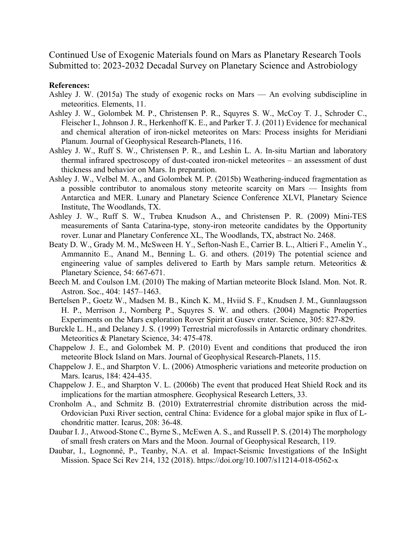Continued Use of Exogenic Materials found on Mars as Planetary Research Tools Submitted to: 2023-2032 Decadal Survey on Planetary Science and Astrobiology

## **References:**

- Ashley J. W. (2015a) The study of exogenic rocks on Mars An evolving subdiscipline in meteoritics. Elements, 11.
- Ashley J. W., Golombek M. P., Christensen P. R., Squyres S. W., McCoy T. J., Schroder C., Fleischer I., Johnson J. R., Herkenhoff K. E., and Parker T. J. (2011) Evidence for mechanical and chemical alteration of iron-nickel meteorites on Mars: Process insights for Meridiani Planum. Journal of Geophysical Research-Planets, 116.
- Ashley J. W., Ruff S. W., Christensen P. R., and Leshin L. A. In-situ Martian and laboratory thermal infrared spectroscopy of dust-coated iron-nickel meteorites – an assessment of dust thickness and behavior on Mars. In preparation.
- Ashley J. W., Velbel M. A., and Golombek M. P. (2015b) Weathering-induced fragmentation as a possible contributor to anomalous stony meteorite scarcity on Mars — Insights from Antarctica and MER. Lunary and Planetary Science Conference XLVI, Planetary Science Institute, The Woodlands, TX.
- Ashley J. W., Ruff S. W., Trubea Knudson A., and Christensen P. R. (2009) Mini-TES measurements of Santa Catarina-type, stony-iron meteorite candidates by the Opportunity rover. Lunar and Planetary Conference XL, The Woodlands, TX, abstract No. 2468.
- Beaty D. W., Grady M. M., McSween H. Y., Sefton-Nash E., Carrier B. L., Altieri F., Amelin Y., Ammannito E., Anand M., Benning L. G. and others. (2019) The potential science and engineering value of samples delivered to Earth by Mars sample return. Meteoritics & Planetary Science, 54: 667-671.
- Beech M. and Coulson I.M. (2010) The making of Martian meteorite Block Island. Mon. Not. R. Astron. Soc., 404: 1457–1463.
- Bertelsen P., Goetz W., Madsen M. B., Kinch K. M., Hviid S. F., Knudsen J. M., Gunnlaugsson H. P., Merrison J., Nornberg P., Squyres S. W. and others. (2004) Magnetic Properties Experiments on the Mars exploration Rover Spirit at Gusev crater. Science, 305: 827-829.
- Burckle L. H., and Delaney J. S. (1999) Terrestrial microfossils in Antarctic ordinary chondrites. Meteoritics & Planetary Science, 34: 475-478.
- Chappelow J. E., and Golombek M. P. (2010) Event and conditions that produced the iron meteorite Block Island on Mars. Journal of Geophysical Research-Planets, 115.
- Chappelow J. E., and Sharpton V. L. (2006) Atmospheric variations and meteorite production on Mars. Icarus, 184: 424-435.
- Chappelow J. E., and Sharpton V. L. (2006b) The event that produced Heat Shield Rock and its implications for the martian atmosphere. Geophysical Research Letters, 33.
- Cronholm A., and Schmitz B. (2010) Extraterrestrial chromite distribution across the mid-Ordovician Puxi River section, central China: Evidence for a global major spike in flux of Lchondritic matter. Icarus, 208: 36-48.
- Daubar I. J., Atwood-Stone C., Byrne S., McEwen A. S., and Russell P. S. (2014) The morphology of small fresh craters on Mars and the Moon. Journal of Geophysical Research, 119.
- Daubar, I., Lognonné, P., Teanby, N.A. et al. Impact-Seismic Investigations of the InSight Mission. Space Sci Rev 214, 132 (2018). https://doi.org/10.1007/s11214-018-0562-x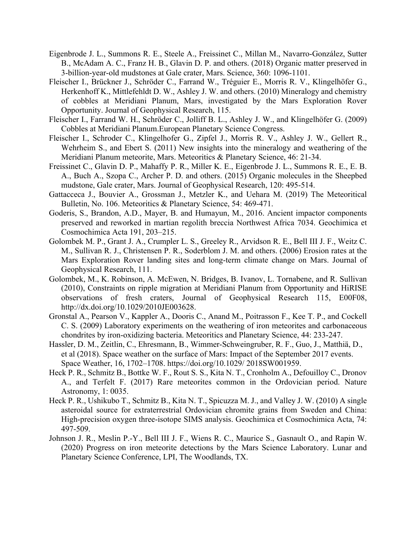- Eigenbrode J. L., Summons R. E., Steele A., Freissinet C., Millan M., Navarro-González, Sutter B., McAdam A. C., Franz H. B., Glavin D. P. and others. (2018) Organic matter preserved in 3-billion-year-old mudstones at Gale crater, Mars. Science, 360: 1096-1101.
- Fleischer I., Brückner J., Schröder C., Farrand W., Tréguier E., Morris R. V., Klingelhöfer G., Herkenhoff K., Mittlefehldt D. W., Ashley J. W. and others. (2010) Mineralogy and chemistry of cobbles at Meridiani Planum, Mars, investigated by the Mars Exploration Rover Opportunity. Journal of Geophysical Research, 115.
- Fleischer I., Farrand W. H., Schröder C., Jolliff B. L., Ashley J. W., and Klingelhöfer G. (2009) Cobbles at Meridiani Planum.European Planetary Science Congress.
- Fleischer I., Schroder C., Klingelhofer G., Zipfel J., Morris R. V., Ashley J. W., Gellert R., Wehrheim S., and Ebert S. (2011) New insights into the mineralogy and weathering of the Meridiani Planum meteorite, Mars. Meteoritics & Planetary Science, 46: 21-34.
- Freissinet C., Glavin D. P., Mahaffy P. R., Miller K. E., Eigenbrode J. L., Summons R. E., E. B. A., Buch A., Szopa C., Archer P. D. and others. (2015) Organic molecules in the Sheepbed mudstone, Gale crater, Mars. Journal of Geophysical Research, 120: 495-514.
- Gattacceca J., Bouvier A., Grossman J., Metzler K., and Uehara M. (2019) The Meteoritical Bulletin, No. 106. Meteoritics & Planetary Science, 54: 469-471.
- Goderis, S., Brandon, A.D., Mayer, B. and Humayun, M., 2016. Ancient impactor components preserved and reworked in martian regolith breccia Northwest Africa 7034. Geochimica et Cosmochimica Acta 191, 203–215.
- Golombek M. P., Grant J. A., Crumpler L. S., Greeley R., Arvidson R. E., Bell III J. F., Weitz C. M., Sullivan R. J., Christensen P. R., Soderblom J. M. and others. (2006) Erosion rates at the Mars Exploration Rover landing sites and long-term climate change on Mars. Journal of Geophysical Research, 111.
- Golombek, M., K. Robinson, A. McEwen, N. Bridges, B. Ivanov, L. Tornabene, and R. Sullivan (2010), Constraints on ripple migration at Meridiani Planum from Opportunity and HiRISE observations of fresh craters, Journal of Geophysical Research 115, E00F08, http://dx.doi.org/10.1029/2010JE003628.
- Gronstal A., Pearson V., Kappler A., Dooris C., Anand M., Poitrasson F., Kee T. P., and Cockell C. S. (2009) Laboratory experiments on the weathering of iron meteorites and carbonaceous chondrites by iron-oxidizing bacteria. Meteoritics and Planetary Science, 44: 233-247.
- Hassler, D. M., Zeitlin, C., Ehresmann, B., Wimmer-Schweingruber, R. F., Guo, J., Matthiä, D., et al (2018). Space weather on the surface of Mars: Impact of the September 2017 events. Space Weather, 16, 1702–1708. https://doi.org/10.1029/ 2018SW001959.
- Heck P. R., Schmitz B., Bottke W. F., Rout S. S., Kita N. T., Cronholm A., Defouilloy C., Dronov A., and Terfelt F. (2017) Rare meteorites common in the Ordovician period. Nature Astronomy, 1: 0035.
- Heck P. R., Ushikubo T., Schmitz B., Kita N. T., Spicuzza M. J., and Valley J. W. (2010) A single asteroidal source for extraterrestrial Ordovician chromite grains from Sweden and China: High-precision oxygen three-isotope SIMS analysis. Geochimica et Cosmochimica Acta, 74: 497-509.
- Johnson J. R., Meslin P.-Y., Bell III J. F., Wiens R. C., Maurice S., Gasnault O., and Rapin W. (2020) Progress on iron meteorite detections by the Mars Science Laboratory. Lunar and Planetary Science Conference, LPI, The Woodlands, TX.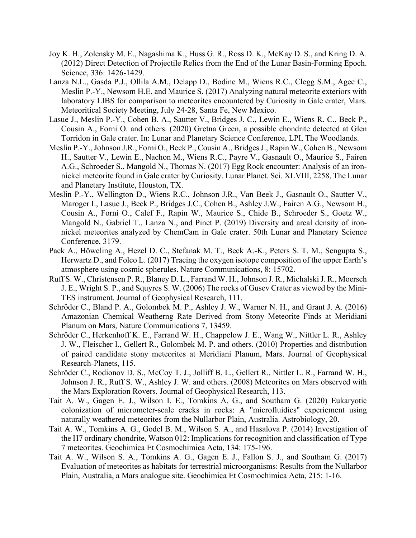- Joy K. H., Zolensky M. E., Nagashima K., Huss G. R., Ross D. K., McKay D. S., and Kring D. A. (2012) Direct Detection of Projectile Relics from the End of the Lunar Basin-Forming Epoch. Science, 336: 1426-1429.
- Lanza N.L., Gasda P.J., Ollila A.M., Delapp D., Bodine M., Wiens R.C., Clegg S.M., Agee C., Meslin P.-Y., Newsom H.E, and Maurice S. (2017) Analyzing natural meteorite exteriors with laboratory LIBS for comparison to meteorites encountered by Curiosity in Gale crater, Mars. Meteoritical Society Meeting, July 24-28, Santa Fe, New Mexico.
- Lasue J., Meslin P.-Y., Cohen B. A., Sautter V., Bridges J. C., Lewin E., Wiens R. C., Beck P., Cousin A., Forni O. and others. (2020) Gretna Green, a possible chondrite detected at Glen Torridon in Gale crater. In: Lunar and Planetary Science Conference, LPI, The Woodlands.
- Meslin P.-Y., Johnson J.R., Forni O., Beck P., Cousin A., Bridges J., Rapin W., Cohen B., Newsom H., Sautter V., Lewin E., Nachon M., Wiens R.C., Payre V., Gasnault O., Maurice S., Fairen A.G., Schroeder S., Mangold N., Thomas N. (2017) Egg Rock encounter: Analysis of an ironnickel meteorite found in Gale crater by Curiosity. Lunar Planet. Sci. XLVIII, 2258, The Lunar and Planetary Institute, Houston, TX.
- Meslin P.-Y., Wellington D., Wiens R.C., Johnson J.R., Van Beek J., Gasnault O., Sautter V., Maroger I., Lasue J., Beck P., Bridges J.C., Cohen B., Ashley J.W., Fairen A.G., Newsom H., Cousin A., Forni O., Calef F., Rapin W., Maurice S., Chide B., Schroeder S., Goetz W., Mangold N., Gabriel T., Lanza N., and Pinet P. (2019) Diversity and areal density of ironnickel meteorites analyzed by ChemCam in Gale crater. 50th Lunar and Planetary Science Conference, 3179.
- Pack A., Höweling A., Hezel D. C., Stefanak M. T., Beck A.-K., Peters S. T. M., Sengupta S., Herwartz D., and Folco L. (2017) Tracing the oxygen isotope composition of the upper Earth's atmosphere using cosmic spherules. Nature Communications, 8: 15702.
- Ruff S. W., Christensen P. R., Blaney D. L., Farrand W. H., Johnson J. R., Michalski J. R., Moersch J. E., Wright S. P., and Squyres S. W. (2006) The rocks of Gusev Crater as viewed by the Mini-TES instrument. Journal of Geophysical Research, 111.
- Schröder C., Bland P. A., Golombek M. P., Ashley J. W., Warner N. H., and Grant J. A. (2016) Amazonian Chemical Weatherng Rate Derived from Stony Meteorite Finds at Meridiani Planum on Mars, Nature Communications 7, 13459.
- Schröder C., Herkenhoff K. E., Farrand W. H., Chappelow J. E., Wang W., Nittler L. R., Ashley J. W., Fleischer I., Gellert R., Golombek M. P. and others. (2010) Properties and distribution of paired candidate stony meteorites at Meridiani Planum, Mars. Journal of Geophysical Research-Planets, 115.
- Schröder C., Rodionov D. S., McCoy T. J., Jolliff B. L., Gellert R., Nittler L. R., Farrand W. H., Johnson J. R., Ruff S. W., Ashley J. W. and others. (2008) Meteorites on Mars observed with the Mars Exploration Rovers. Journal of Geophysical Research, 113.
- Tait A. W., Gagen E. J., Wilson I. E., Tomkins A. G., and Southam G. (2020) Eukaryotic colonization of micrometer-scale cracks in rocks: A "microfluidics" experiement using naturally weathered meteorites from the Nullarbor Plain, Australia. Astrobiology, 20.
- Tait A. W., Tomkins A. G., Godel B. M., Wilson S. A., and Hasalova P. (2014) Investigation of the H7 ordinary chondrite, Watson 012: Implications for recognition and classification of Type 7 meteorites. Geochimica Et Cosmochimica Acta, 134: 175-196.
- Tait A. W., Wilson S. A., Tomkins A. G., Gagen E. J., Fallon S. J., and Southam G. (2017) Evaluation of meteorites as habitats for terrestrial microorganisms: Results from the Nullarbor Plain, Australia, a Mars analogue site. Geochimica Et Cosmochimica Acta, 215: 1-16.